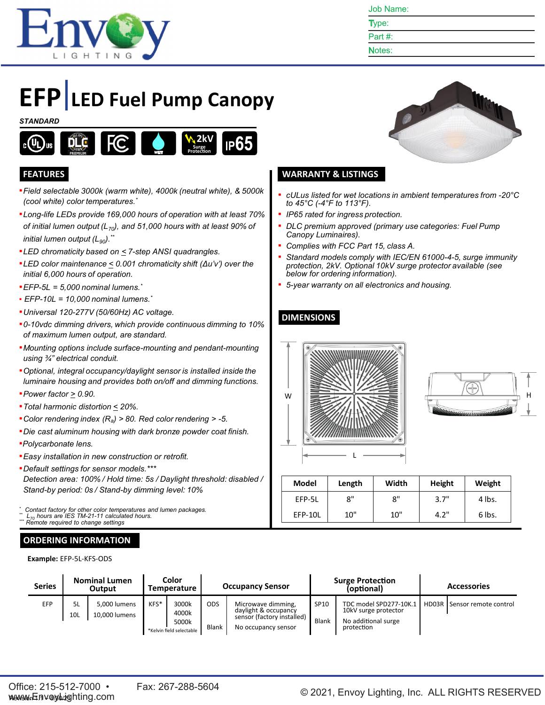

Job Name:

- Type: Part #:
- Notes:

# **EFP LED Fuel Pump Canopy**

#### *STANDARD*



- ▪*Field selectable 3000k (warm white), 4000k (neutral white), & 5000k (cool white) color temperatures. \**
- ▪*Long-life LEDs provide 169,000 hours of operation with at least 70% of initial lumen output (L70), and 51,000 hours with at least 90% of initial lumen output* (L<sub>90</sub>).<sup>\*\*</sup>
- ▪*LED chromaticity based on < 7-step ANSI quadrangles.*
- ▪*LED color maintenance < 0.001 chromaticity shift (Δu'v') over the initial 6,000 hours of operation.*
- ▪*EFP-5L = 5,000 nominal lumens. \**
- *EFP-10L = 10,000 nominal lumens. \**
- ▪*Universal 120-277V (50/60Hz) AC voltage.*
- ▪*0-10vdc dimming drivers, which provide continuous dimming to 10% of maximum lumen output, are standard.*
- ▪*Mounting options include surface-mounting and pendant-mounting using ¾" electrical conduit.*
- ▪*Optional, integral occupancy/daylight sensor is installed inside the luminaire housing and provides both on/off and dimming functions.*
- ▪*Power factor > 0.90.*
- ▪*Total harmonic distortion < 20%.*
- ▪*Color rendering index (Ra) > 80. Red color rendering > -5.*
- ▪*Die cast aluminum housing with dark bronze powder coat finish.*
- ▪*Polycarbonate lens.*
- ▪*Easy installation in new construction or retrofit.*
- ▪*Default settings for sensor models.\*\*\* Detection area: 100% / Hold time: 5s / Daylight threshold: disabled / Stand-by period: 0s / Stand-by dimming level: 10%*

*\* Contact factory for other color temperatures and lumen packages. \*\* L<sup>70</sup> hours are IES TM-21-11 calculated hours.*

 $R$ <sup>emote</sup> required to change settings

## **ORDERING INFORMATION**

**Example:** EFP-5L-KFS-ODS



#### **FEATURES WARRANTY & LISTINGS**

- *cULus listed for wet locations in ambient temperatures from -20°C to 45°C (-4°F to 113°F).*
- *IP65 rated for ingress protection.*
- *DLC premium approved (primary use categories: Fuel Pump Canopy Luminaires).*
- *Complies with FCC Part 15, class A.*
- *Standard models comply with IEC/EN 61000-4-5, surge immunity protection, 2kV. Optional 10kV surge protector available (see below for ordering information).*
- *5-year warranty on all electronics and housing.*

## **DIMENSIONS**





| <b>Model</b> | Length | Width | Height | Weight |
|--------------|--------|-------|--------|--------|
| EFP-5L       | 8"     | 8"    | 3.7"   | 4 lbs. |
| EFP-10L      | 10"    | 10"   | 4.2"   | 6 lbs. |

| <b>Nominal Lumen</b><br><b>Series</b><br>Output |           |                               | Color<br>Temperature | <b>Occupancy Sensor</b>                             |                     |                                                                                                 | <b>Surge Protection</b><br>(optional) | <b>Accessories</b>                                                                  |  |                               |
|-------------------------------------------------|-----------|-------------------------------|----------------------|-----------------------------------------------------|---------------------|-------------------------------------------------------------------------------------------------|---------------------------------------|-------------------------------------------------------------------------------------|--|-------------------------------|
| EFP                                             | 5L<br>10L | 5,000 lumens<br>10.000 lumens | KFS*                 | 3000k<br>4000k<br>5000k<br>*Kelvin field selectable | <b>ODS</b><br>Blank | Microwave dimming,<br>daylight & occupancy<br>sensor (factory installed)<br>No occupancy sensor | SP10<br><b>Blank</b>                  | TDC model SPD277-10K.1<br>10kV surge protector<br>No additional surge<br>protection |  | HD03R   Sensor remote control |